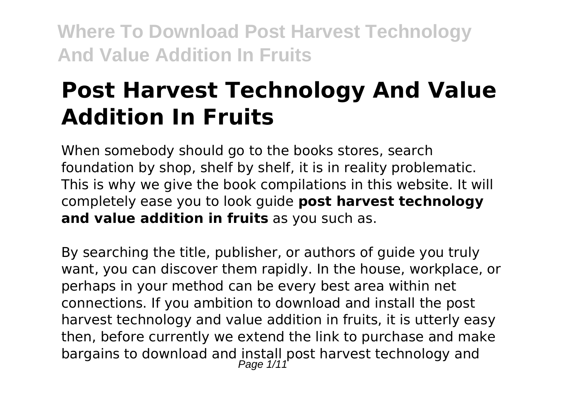# **Post Harvest Technology And Value Addition In Fruits**

When somebody should go to the books stores, search foundation by shop, shelf by shelf, it is in reality problematic. This is why we give the book compilations in this website. It will completely ease you to look guide **post harvest technology and value addition in fruits** as you such as.

By searching the title, publisher, or authors of guide you truly want, you can discover them rapidly. In the house, workplace, or perhaps in your method can be every best area within net connections. If you ambition to download and install the post harvest technology and value addition in fruits, it is utterly easy then, before currently we extend the link to purchase and make bargains to download and install post harvest technology and Page  $1/11$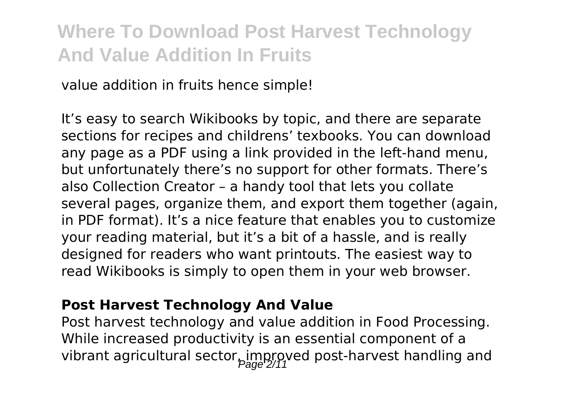value addition in fruits hence simple!

It's easy to search Wikibooks by topic, and there are separate sections for recipes and childrens' texbooks. You can download any page as a PDF using a link provided in the left-hand menu, but unfortunately there's no support for other formats. There's also Collection Creator – a handy tool that lets you collate several pages, organize them, and export them together (again, in PDF format). It's a nice feature that enables you to customize your reading material, but it's a bit of a hassle, and is really designed for readers who want printouts. The easiest way to read Wikibooks is simply to open them in your web browser.

#### **Post Harvest Technology And Value**

Post harvest technology and value addition in Food Processing. While increased productivity is an essential component of a vibrant agricultural sector, improved post-harvest handling and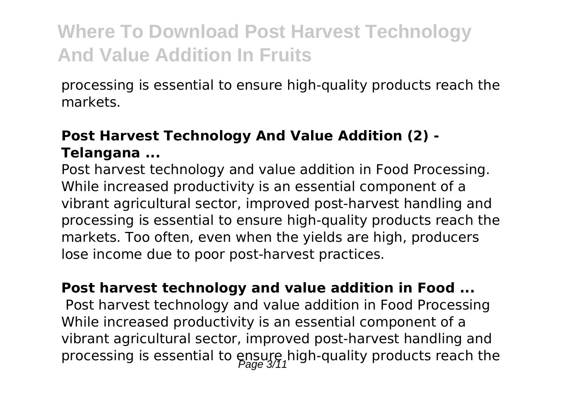processing is essential to ensure high-quality products reach the markets.

#### **Post Harvest Technology And Value Addition (2) - Telangana ...**

Post harvest technology and value addition in Food Processing. While increased productivity is an essential component of a vibrant agricultural sector, improved post-harvest handling and processing is essential to ensure high-quality products reach the markets. Too often, even when the yields are high, producers lose income due to poor post-harvest practices.

**Post harvest technology and value addition in Food ...** Post harvest technology and value addition in Food Processing While increased productivity is an essential component of a vibrant agricultural sector, improved post-harvest handling and processing is essential to  $ensup_{\text{max}}$  high-quality products reach the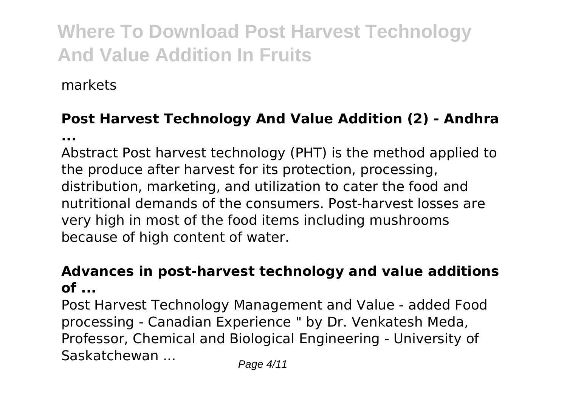markets

### **Post Harvest Technology And Value Addition (2) - Andhra**

**...**

Abstract Post harvest technology (PHT) is the method applied to the produce after harvest for its protection, processing, distribution, marketing, and utilization to cater the food and nutritional demands of the consumers. Post-harvest losses are very high in most of the food items including mushrooms because of high content of water.

#### **Advances in post-harvest technology and value additions of ...**

Post Harvest Technology Management and Value - added Food processing - Canadian Experience " by Dr. Venkatesh Meda, Professor, Chemical and Biological Engineering - University of Saskatchewan ... Page 4/11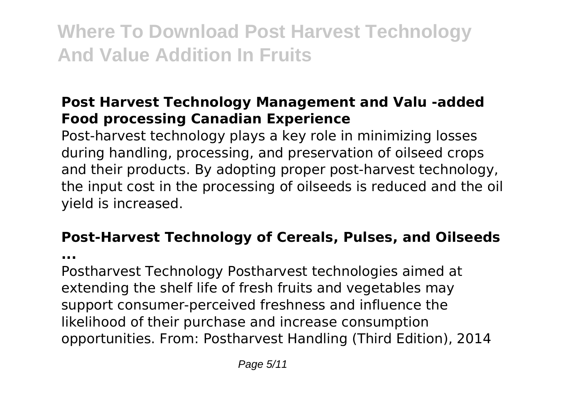#### **Post Harvest Technology Management and Valu -added Food processing Canadian Experience**

Post-harvest technology plays a key role in minimizing losses during handling, processing, and preservation of oilseed crops and their products. By adopting proper post-harvest technology, the input cost in the processing of oilseeds is reduced and the oil yield is increased.

### **Post-Harvest Technology of Cereals, Pulses, and Oilseeds**

**...**

Postharvest Technology Postharvest technologies aimed at extending the shelf life of fresh fruits and vegetables may support consumer-perceived freshness and influence the likelihood of their purchase and increase consumption opportunities. From: Postharvest Handling (Third Edition), 2014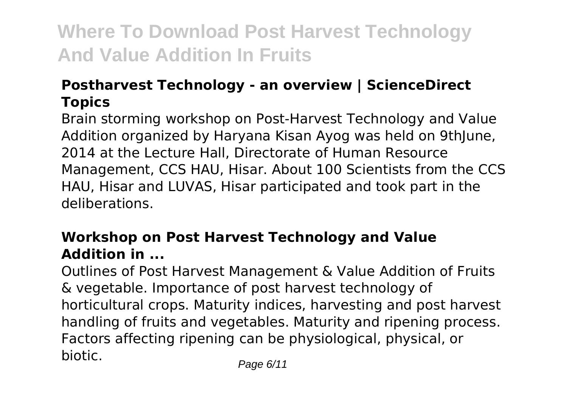#### **Postharvest Technology - an overview | ScienceDirect Topics**

Brain storming workshop on Post-Harvest Technology and Value Addition organized by Haryana Kisan Ayog was held on 9thJune, 2014 at the Lecture Hall, Directorate of Human Resource Management, CCS HAU, Hisar. About 100 Scientists from the CCS HAU, Hisar and LUVAS, Hisar participated and took part in the deliberations.

#### **Workshop on Post Harvest Technology and Value Addition in ...**

Outlines of Post Harvest Management & Value Addition of Fruits & vegetable. Importance of post harvest technology of horticultural crops. Maturity indices, harvesting and post harvest handling of fruits and vegetables. Maturity and ripening process. Factors affecting ripening can be physiological, physical, or biotic. Page 6/11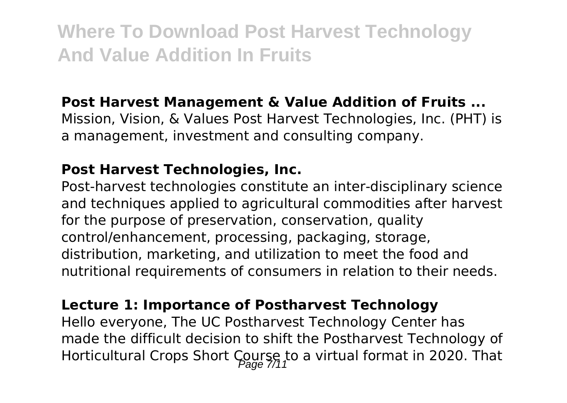#### **Post Harvest Management & Value Addition of Fruits ...**

Mission, Vision, & Values Post Harvest Technologies, Inc. (PHT) is a management, investment and consulting company.

#### **Post Harvest Technologies, Inc.**

Post-harvest technologies constitute an inter-disciplinary science and techniques applied to agricultural commodities after harvest for the purpose of preservation, conservation, quality control/enhancement, processing, packaging, storage, distribution, marketing, and utilization to meet the food and nutritional requirements of consumers in relation to their needs.

#### **Lecture 1: Importance of Postharvest Technology**

Hello everyone, The UC Postharvest Technology Center has made the difficult decision to shift the Postharvest Technology of Horticultural Crops Short Course to a virtual format in 2020. That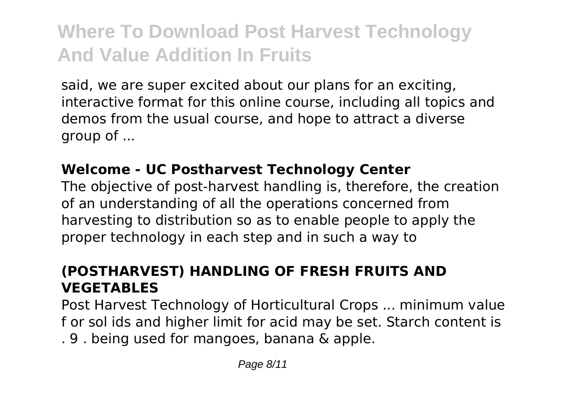said, we are super excited about our plans for an exciting, interactive format for this online course, including all topics and demos from the usual course, and hope to attract a diverse group of ...

#### **Welcome - UC Postharvest Technology Center**

The objective of post-harvest handling is, therefore, the creation of an understanding of all the operations concerned from harvesting to distribution so as to enable people to apply the proper technology in each step and in such a way to

#### **(POSTHARVEST) HANDLING OF FRESH FRUITS AND VEGETABLES**

Post Harvest Technology of Horticultural Crops ... minimum value f or sol ids and higher limit for acid may be set. Starch content is . 9 . being used for mangoes, banana & apple.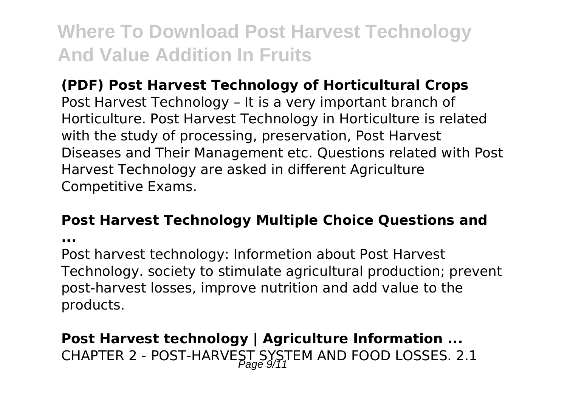#### **(PDF) Post Harvest Technology of Horticultural Crops**

Post Harvest Technology – It is a very important branch of Horticulture. Post Harvest Technology in Horticulture is related with the study of processing, preservation, Post Harvest Diseases and Their Management etc. Questions related with Post Harvest Technology are asked in different Agriculture Competitive Exams.

#### **Post Harvest Technology Multiple Choice Questions and**

**...**

Post harvest technology: Informetion about Post Harvest Technology. society to stimulate agricultural production; prevent post-harvest losses, improve nutrition and add value to the products.

### **Post Harvest technology | Agriculture Information ...** CHAPTER 2 - POST-HARVEST SYSTEM AND FOOD LOSSES. 2.1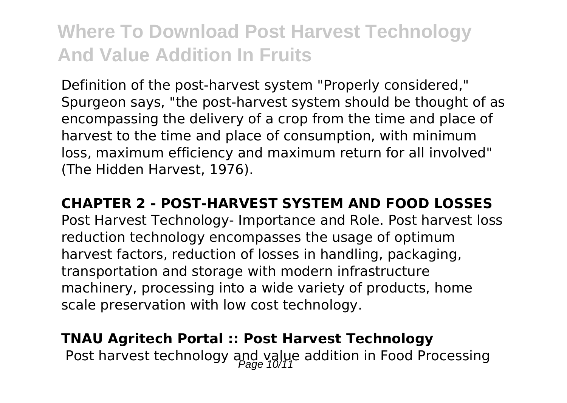Definition of the post-harvest system "Properly considered," Spurgeon says, "the post-harvest system should be thought of as encompassing the delivery of a crop from the time and place of harvest to the time and place of consumption, with minimum loss, maximum efficiency and maximum return for all involved" (The Hidden Harvest, 1976).

#### **CHAPTER 2 - POST-HARVEST SYSTEM AND FOOD LOSSES**

Post Harvest Technology- Importance and Role. Post harvest loss reduction technology encompasses the usage of optimum harvest factors, reduction of losses in handling, packaging, transportation and storage with modern infrastructure machinery, processing into a wide variety of products, home scale preservation with low cost technology.

### **TNAU Agritech Portal :: Post Harvest Technology** Post harvest technology and value addition in Food Processing